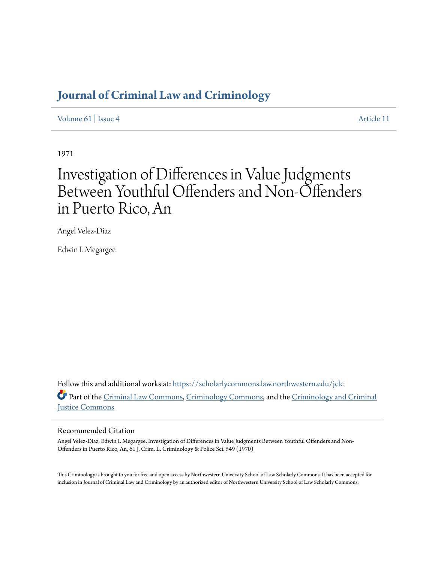# **[Journal of Criminal Law and Criminology](https://scholarlycommons.law.northwestern.edu/jclc?utm_source=scholarlycommons.law.northwestern.edu%2Fjclc%2Fvol61%2Fiss4%2F11&utm_medium=PDF&utm_campaign=PDFCoverPages)**

[Volume 61](https://scholarlycommons.law.northwestern.edu/jclc/vol61?utm_source=scholarlycommons.law.northwestern.edu%2Fjclc%2Fvol61%2Fiss4%2F11&utm_medium=PDF&utm_campaign=PDFCoverPages) | [Issue 4](https://scholarlycommons.law.northwestern.edu/jclc/vol61/iss4?utm_source=scholarlycommons.law.northwestern.edu%2Fjclc%2Fvol61%2Fiss4%2F11&utm_medium=PDF&utm_campaign=PDFCoverPages) [Article 11](https://scholarlycommons.law.northwestern.edu/jclc/vol61/iss4/11?utm_source=scholarlycommons.law.northwestern.edu%2Fjclc%2Fvol61%2Fiss4%2F11&utm_medium=PDF&utm_campaign=PDFCoverPages)

1971

# Investigation of Differences in Value Judgments Between Youthful Offenders and Non-Offenders in Puerto Rico, An

Angel Velez-Diaz

Edwin I. Megargee

Follow this and additional works at: [https://scholarlycommons.law.northwestern.edu/jclc](https://scholarlycommons.law.northwestern.edu/jclc?utm_source=scholarlycommons.law.northwestern.edu%2Fjclc%2Fvol61%2Fiss4%2F11&utm_medium=PDF&utm_campaign=PDFCoverPages) Part of the [Criminal Law Commons](http://network.bepress.com/hgg/discipline/912?utm_source=scholarlycommons.law.northwestern.edu%2Fjclc%2Fvol61%2Fiss4%2F11&utm_medium=PDF&utm_campaign=PDFCoverPages), [Criminology Commons](http://network.bepress.com/hgg/discipline/417?utm_source=scholarlycommons.law.northwestern.edu%2Fjclc%2Fvol61%2Fiss4%2F11&utm_medium=PDF&utm_campaign=PDFCoverPages), and the [Criminology and Criminal](http://network.bepress.com/hgg/discipline/367?utm_source=scholarlycommons.law.northwestern.edu%2Fjclc%2Fvol61%2Fiss4%2F11&utm_medium=PDF&utm_campaign=PDFCoverPages) [Justice Commons](http://network.bepress.com/hgg/discipline/367?utm_source=scholarlycommons.law.northwestern.edu%2Fjclc%2Fvol61%2Fiss4%2F11&utm_medium=PDF&utm_campaign=PDFCoverPages)

## Recommended Citation

Angel Velez-Diaz, Edwin I. Megargee, Investigation of Differences in Value Judgments Between Youthful Offenders and Non-Offenders in Puerto Rico, An, 61 J. Crim. L. Criminology & Police Sci. 549 (1970)

This Criminology is brought to you for free and open access by Northwestern University School of Law Scholarly Commons. It has been accepted for inclusion in Journal of Criminal Law and Criminology by an authorized editor of Northwestern University School of Law Scholarly Commons.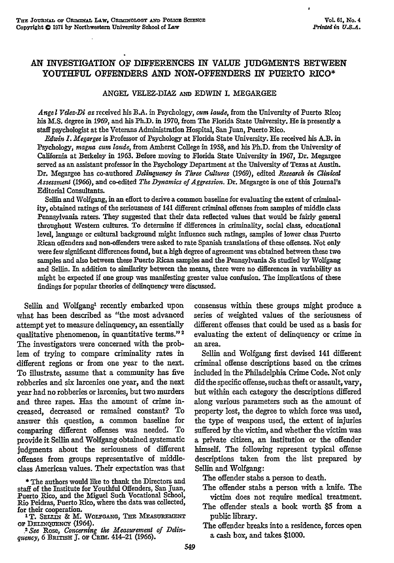### **AN** INVESTIGATION OF DIFFERENCES IN **VALUE JUDGMENTS** BETWEEN **YOUTHFUL OFFENDERS AND NON-OFFENDERS** IN PUERTO RICO\*

#### **ANGEL** VELEZ-DIAZ *Am* EDWIN **I. MEGARGEE**

*Angel Velez-Di az* received his **B.A.** in Psychology, *cum laude,* from the University of Puerto Rico; his **M.S.** degree in **1969,** and his Ph.D. in **1970,** from The Florida State University. He is presently a staff psychologist at the Veterans Administration Hospital, San Juan, Puerto Rico.

*&dwin I. Megargee* is Professor of Psychology at Florida State University. He received his A.B. in Psychology, *magna cum laude,* from Amherst College in **1958,** and his Ph.D. from the University of California at Berkeley in 1963. Before moving to Florida State University in 1967, Dr. Megargee served as an assistant professor in the Psychology Department at the University of Texas at Austin. Dr. Megargee has co-authored *Delinquency in Three Cultures* **(1969),** edited *Research in Clinical Assessment* **(1966),** and co-edited *The Dynamics of Aggression.* Dr. Megargee is one of this Journal's Editorial Consultants.

Sellin and Wolfgang, in an effort to derive a common baseline for evaluating the extent of criminality, obtained ratings of the seriousness of 141 different criminal offenses from samples of middle class Pennsylvania raters. They suggested that their data reflected values that would be fairly general throughout Western cultures. To determine if differences in criminality, social class, educational level, language or cultural background might influence such ratings, samples of lower class Puerto Rican offenders and non-offenders were asked to rate Spanish translations of these offenses. Not only were few significant differences found, but a high degree of agreement was obtained between these two samples and also between these Puerto Rican samples and the Pennsylvania Ss studied **by** Wolfgang and Selin. In addition to similarity between the means, there were no differences in variability as might be expected if one group was manifesting greater value confusion. The implications of these findings for popular theories of delinquency were discussed.

Sellin and Wolfgang' recently embarked upon what has been described as "the most advanced attempt yet to measure delinquency, an essentially qualitative phenomenon, in quantitative terms." **2** The investigators were concerned with the problem of trying to compare criminality rates in different regions or from one year to the next. To illustrate, assume that a community has five robberies and six larcenies one year, and the next year had no robberies or larcenies, but two murders and three rapes. Has the amount of crime increased, decreased or remained constant? To answer this question, a common baseline for comparing different offenses was needed. To provide it Sellin and Wolfgang obtained systematic judgments about the seriousness of different offenses from groups representative of middleclass American values. Their expectation was that

**\*** The authors would like to thank the Directors and staff of the Institute for Youthful Offenders, San Juan, Puerto Rico, and the Miguel Such Vocational School, Rio Peidras, Puerto Rico, where the data was collected,

for their cooperation.<br>
<sup>1</sup>T. SELLIN & M. WOLFGANG, THE MEASUREMENT<br>
OF DELINQUENCY (1964).

or **DELmQJENcY** (1964). . *See* Rose, *Concerning the Measurement of Ddinquency,* 6 BanisH **J.** or Cmm. 414-21 (1966).

consensus within these groups might produce a series of weighted values of the seriousness of different offenses that could be used as a basis for evaluating the extent of delinquency or crime in an area.

Sellin and Wolfgang first devised 141 different criminal offense descriptions based on the crimes included in the Philadelphia Crime Code. Not only did the specific offense, suchas theft or assault, vary, but within each category the descriptions differed along various parameters such as the amount of property lost, the degree to which force was used, the type of weapons used, the extent of injuries suffered by the victim, and whether the victim was a private citizen, an institution or the offender himself. The following represent typical offense descriptions taken from the list prepared by Sellin and Wolfgang:

The offender stabs a person to death.

The offender stabs a person with a knife. The victim does not require medical treatment.

The offender steals a book worth **\$5** from a public library.

The offender breaks into a residence, forces open a cash box, and takes **\$1000.**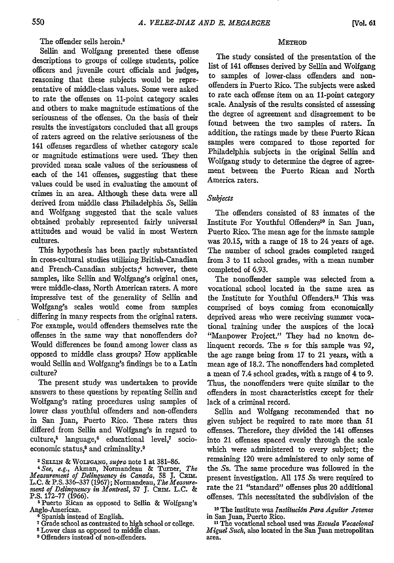The offender sells heroin.'

Sellin and Wolfgang presented these offense descriptions to groups of college students, police officers and juvenile court officials and judges, reasoning that these subjects would be representative of middle-class values. Some were asked to rate the offenses on 11-point category scales and others to make magnitude estimations of the seriousness of the offenses. On the basis of their results the investigators concluded that all groups of raters agreed on the relative seriousness of the 141 offenses regardless of whether category scale or magnitude estimations were used. They then provided mean scale values of the seriousness of each of the 141 offenses, suggesting that these values could be used in evaluating the amount of crimes in an area. Although these data were all derived from middle class Philadelphia *Ss,* Sellin and Wolfgang suggested that the scale values obtained probably represented fairly universal attitudes and wouid be valid in most Western cultures.

This hypothesis has been partly substantiated in cross-cultural studies utilizing British-Canadian and French-Canadian subjects;<sup>4</sup> however, these samples, like Sellin and Wolfgang's original ones, were middle-class, North American raters. A more impressive test of the generality of Sellin and Wolfgang's scales would come from samples differing in many respects from the original raters. For example, would offenders themselves rate the offenses in the same way that nonoffenders do? Would differences be found among lower class as opposed to middle class groups? How applicable would Sellin and Wolfgang's findings be to a Latin culture?

The present study was undertaken to provide answers to these questions by repeating Sellin and Wolfgang's rating procedures using samples of lower class youthful offenders and non-offenders in San Juan, Puerto Rico. These raters thus differed from Sellin and Wolfgang's in regard to culture,<sup>5</sup> language,<sup>6</sup> educational level,<sup>7</sup> socioeconomic status,<sup>8</sup> and criminality.<sup>9</sup>

**3 SzLIN'** & WOLFGANG, *supra* note 1 at 381-86. *<sup>4</sup> See, e.g.,* Akman, Normandeau & Turner, *The Measurement of Delinquency in Canada,* **58** J. *Cant.* L.C. & P.S. 336-337 (1967); Normandeau, *The Measurement of Delinquency in Montreal,* 57 J. CRIM. L.C. & P.S. 172–77 (1966).

<sup>5</sup> Puerto Rican as opposed to Sellin & Wolfgang's<br>Anglo-American.<br><sup>6</sup> Spanish instead of English.<br>7 Grade school as contrasted to high school or college.<br><sup>7</sup> Crade school as contrasted to middle class.<br><sup>8</sup> Lower class as

- 
- 
- 
- **9** Offenders instead of non-offenders.

#### **METHOD**

The study consisted of the presentation of the list of 141 offenses derived by Sellin and Wolfgang to samples of lower-class offenders and nonoffenders in Puerto Rico. The subjects were asked to rate each offense item on an 11-point category scale. Analysis of the results consisted of assessing the degree of agreement and disagreement to be found between the two samples of raters. In addition, the ratings made by these Puerto Rican samples were compared to those reported for Philadelphia subjects in the original Sellin and Wolfgang study to determine the degree of agreement between the Puerto Rican and North America raters.

#### *Suljects*

The offenders consisted of 83 inmates of the Institute For Youthful Offenders<sup>10</sup> in San Juan, Puerto Rico. The mean age for the inmate sample was 20.15, with a range of 18 to 24 years of age. The number of school grades completed ranged from 3 to 11 school grades, with a mean number completed of 6.93.

The nonoffender sample was selected from **a.** vocational school located in the same area as the Institute for Youthful Offenders.<sup>11</sup> This was comprised of boys coming from economically deprived areas who were receiving summer vocational training under the auspices of the local "Manpower Project." They had no known delinquent records. The *n* for this sample was **92,** the age range being from 17 to 21 years, with a mean age of 18.2. The nonoffenders had completed a mean of 7.4 school grades, with a range of 4 to 9. Thus, the nonoffenders were quite similar to the offenders in most characteristics except for their lack of a criminal record.

Sellin and Wolfgang recommended that no given subject be required to rate more than 51 offenses. Therefore, they divided the 141 offenses into 21 offenses spaced evenly through the scale which were administered to every subject; the remaining 120 were administered to only some of the Ss. The same procedure was followed in the present investigation. All **175** Ss were required to rate the 21 "standard" offenses plus 20 additional offenses. This necessitated the subdivision of the

**"0** The institute was *Instiuci6n Para Aquitor Jovenes* in San Juan, Puerto Rico.

**"1** The vocational school used was *Escuda Vocacionat Miguel Such,* also located in the San Juan metropolitan area.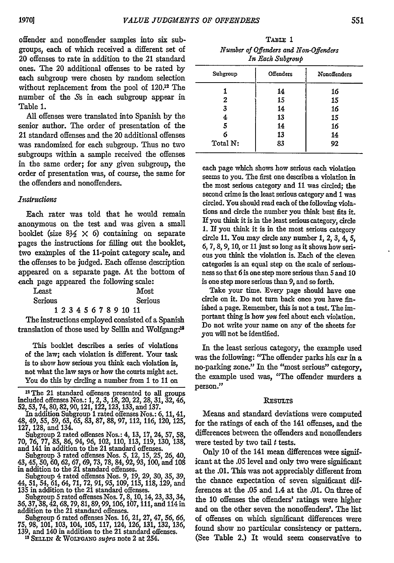offender and nonoffender samples into six subgroups, each of which received a different set of 20 offenses to rate in addition to the 21 standard ones. The 20 additional offenses to be rated by each subgroup were chosen by random selection without replacement from the pool of 120.<sup>12</sup> The number of the Ss in each subgroup appear in Table 1.

All offenses were translated into Spanish by the senior author. The order of presentation of the 21 standard offenses and the 20 additional offenses was randomized for each subgroup. Thus no two subgroups within a sample received the offenses in the same order; for any given subgroup, the order of presentation was, of course, the same for the offenders and nonoffenders.

#### *Instruaction*

Each rater was told that he would remain anonymous on the test and was given a small booklet (size  $8\frac{1}{2} \times 6$ ) containing on separate pages the instructions for filling out the booklet, two examples of the 11-point category scale, and the offenses to be judged. Each offense description appeared on a separate page. At the bottom of each page appeared the following scale:

| Least   |  |  |  |  |                         | Most    |
|---------|--|--|--|--|-------------------------|---------|
| Serious |  |  |  |  |                         | Serious |
|         |  |  |  |  | 1 2 3 4 5 6 7 8 9 10 11 |         |

The instructions employed consisted of a Spanish translation of those used by Sellin and Wolfgang:<sup>14</sup>

This booklet describes a series of violations of the law; each violation is different. Your task is to show how serious you think each violation is, not what the law says or how the courts might act. You do this by circling a number from 1 to **11** on

<sup>12</sup> The 21 standard offenses presented to all groups included offenses Nos.: 1, 2, **3, 18,** 20, 22, **28,** 31, **32,** 46, 52, **53,** 74, 80, **82, 90,121,** 122, 123, 133, and 137.

In addition Subgroup **I** rated offenses Nos.: 6, 11, 41, 48, 49, 55, 59, 63, 65, 83, 87, 88, 97, 112, 116, 120, **125, 127,** 128, and 134.

Subgroup 2 rated offenses Nos.: 4, 13, 17, 24, 57, 58, **70,** 76, **77,** 85, 86, 94, *96,* 102, 110, 113, 119, 130, 138, and 141 in addition to the 21 standard offenses.

Subgroup 3 rated offenses Nos. 5, 12, 15, 25, 26, 40, *43,* 45, 50, 60, **62,** 67, 69, **73,** 78, 84, 92, 93, 100, and **108** in addition to the 21 standard offenses.

Subgroup 4 rated offenses Nos. 9, 19, 29, 30, 35, 39, 44, 51, 54, 61, 64, 71, 72, 91, 95, 109, 115, 118,129, and 135 in addition to the 21 standard offenses.

Subgroup *5* rated offenses Nos. 7, 8, 10, 14, 23, 33, 34, 36,37,38,42,68, 79, 81,89,99, 106, 107, 111, and 114in addition to the 21 standard offenses.

Subgroup 6 rated offenses Nos. 16, 21, 27, 47, 56, 66, 75, 98, 101, 103, 104, 105, 117, 124, 126, 131, 132, 136, 139, and 140 in addition to the 21 standard offenses.<br>
<sup>139</sup>, and 140 in addition to the 21 standard offenses

| In Each Subgroup |                  |              |  |  |  |
|------------------|------------------|--------------|--|--|--|
| Subgroup         | <b>Offenders</b> | Nonoffenders |  |  |  |
|                  | 14               | 16           |  |  |  |
| 2                | 15               | 15           |  |  |  |
| 3                | 14               | 16           |  |  |  |
|                  | 13               | 15           |  |  |  |
|                  | 14               | 16           |  |  |  |

*6* 13 14 Total **N:** 83 **92**

*TABLE* **1** *Number of Offenders and Non-Offenders*

each page which shows how serious each violation seems to you. The first one describes a violation in the most serious category and 11 was circled; the second crime is the least serious category and **I** was circled. You should read each of the following violations and circle the number you think best fits it. If you think it is in the least serious category, circle 1. If you think it is in the most serious category circle 11. You may circle any number **1,** 2, **3,** 4, **5,** 6, 7, **8,** 9, **10,** or 11 just so long as it shows how serious you think the violation is. Each of the eleven categories is an equal step on the scale of seriousness so that 6 is one step more serious than **5** and 10 is one step more serious than **9,** and so forth.

Take your time. Every page should have one circle on it. Do not turn back once you have finished a page. Remember, this is not a test. The important thing is how *you* feel about each violation. Do not write your name on any of the sheets for you will not be identified.

In the least serious category, the example used was the following: "The offender parks his car in a no-parking zone." In the "most serious" category, the example used was, "The offender murders a person."

#### **RESULTS**

Means and standard deviations were computed for the ratings of each of the 141 offenses, and the differences between the offenders and nonoffenders were tested by two tail  $t$  tests.

Only 10 of the 141 mean differences were significant at the .05 level and only two were significant at the .01. This was not appreciably different from the chance expectation of seven significant differences at the .05 and 1.4 at the .01. On three of the 10 offenses the offenders' ratings were higher and on the other seven the nonoffenders'. The list of offenses on which significant differences were found show no particular consistency or pattern. (See Table 2.) It would seem conservative to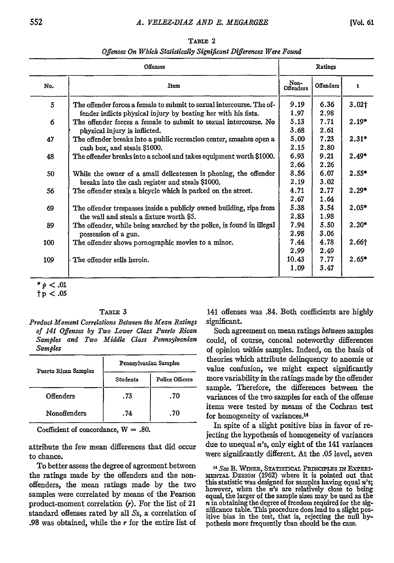| <b>Offenses</b> |                                                                                                                                    |                       | Ratings              |                   |  |
|-----------------|------------------------------------------------------------------------------------------------------------------------------------|-----------------------|----------------------|-------------------|--|
| No.             | Item                                                                                                                               | Non-<br>Offenders     | Offenders            | t                 |  |
| 5               | The offender forces a female to submit to sexual intercourse. The of-                                                              | 9.19<br>1.97          | 6.36<br>2.98         | 3.02 <sub>1</sub> |  |
| 6               | fender inflicts physical injury by beating her with his fists.<br>The offender forces a female to submit to sexual intercourse. No | 5.13<br>3.68          | 7.71<br>2.61         | $2.19*$           |  |
| 47              | physical injury is inflicted.<br>The offender breaks into a public recreation center, smashes open a                               | 5.00<br>2.15          | 7.23<br>2.80         | $2.31*$           |  |
| 48              | cash box, and steals \$1000.<br>The offender breaks into a school and takes equipment worth \$1000.                                | 6.93<br>2.66          | 9.21<br>2.26         | $2.49*$           |  |
| 50              | While the owner of a small delicatessen is phoning, the offender                                                                   | 8.56                  | 6.07                 | $2.55*$           |  |
| 56              | breaks into the cash register and steals \$1000.<br>The offender steals a bicycle which is parked on the street.                   | 2.19<br>4.71          | 3.02<br>2.77         | $2.29*$           |  |
| 69              | The offender trespasses inside a publicly owned building, rips from                                                                | 2.67<br>5.38          | 1.64<br>3.54         | $2.05*$           |  |
| 89              | the wall and steals a fixture worth \$5.<br>The offender, while being searched by the police, is found in illegal                  | 2.83<br>7.94          | 1.98<br>5.50         | $2.20*$           |  |
| 100             | possession of a gun.<br>The offender shows pornographic movies to a minor.                                                         | 2.98<br>7.44          | 3.06<br>4.78         | 2.66†             |  |
| 109             | The offender sells heroin.                                                                                                         | 2.99<br>10.43<br>1.09 | 2.49<br>7.77<br>3.47 | $2.65*$           |  |

TABLE 2 *Offenses On Which Statistically Significant Differences Were Found*

 $*_{p} < .01$ 

tp **< .05**

#### TABLE 3

*Product Moment Correlations Between the Mean Ratings of 141 Offenses by Two Lower Class Puerto Rican Samples and Two Middle Class Pennsylvanian Samples*

| Puerto Rican Samples | Pennsylvanian Samples |                 |  |  |  |  |
|----------------------|-----------------------|-----------------|--|--|--|--|
|                      | <b>Students</b>       | Police Officers |  |  |  |  |
| Offenders            | .73                   | .70             |  |  |  |  |
| Nonoffenders         | .74                   | .70             |  |  |  |  |

Coefficient of concordance, W **= .80.**

attribute the few mean differences that did occur to chance.

To better assess the degree of agreement between the ratings made **by** the offenders and the nonoffenders, the mean ratings made **by** the two samples were correlated by means of the Pearson product-moment correlation  $(r)$ . For the list of 21 standard offenses rated by all *Ss,* a correlation of .98 was obtained, while the *r* for the entire list of 141 offenses was .84. Both coefficients are highly significant.

Such agreement on mean ratings *between* samples could, of course, conceal noteworthy differences of opinion *within* samples. Indeed, on the basis of theories which attribute delinquency to anomie or value confusion, we might expect significantly more variability in the ratings made by the offender sample. Therefore, the differences between the variances of the two samples for each of the offense items were tested by means of the Cochran test for homogeneity of variances. <sup>14</sup>

In spite of a slight positive bias in favor of rejecting the hypothesis of homogeneity of variances due to unequal  $n$ 's, only eight of the 141 variances were significantly different. At the .05 level, seven

*14 See* B. WnER STATISTICAL PRINciPLEs IN ExPExx-**ENTAI.** DESIGN (1962) where it is pointed out that this statistic was designed for samples having equal  $n$ 's; however, when the  $n$ 's are relatively close to being equal, the larger of the sample sizes may be used as the  $n$  in obtaining the degree of freedom required for the significance table. This procedure does lead to a slig pothesis more frequently than should be the case.